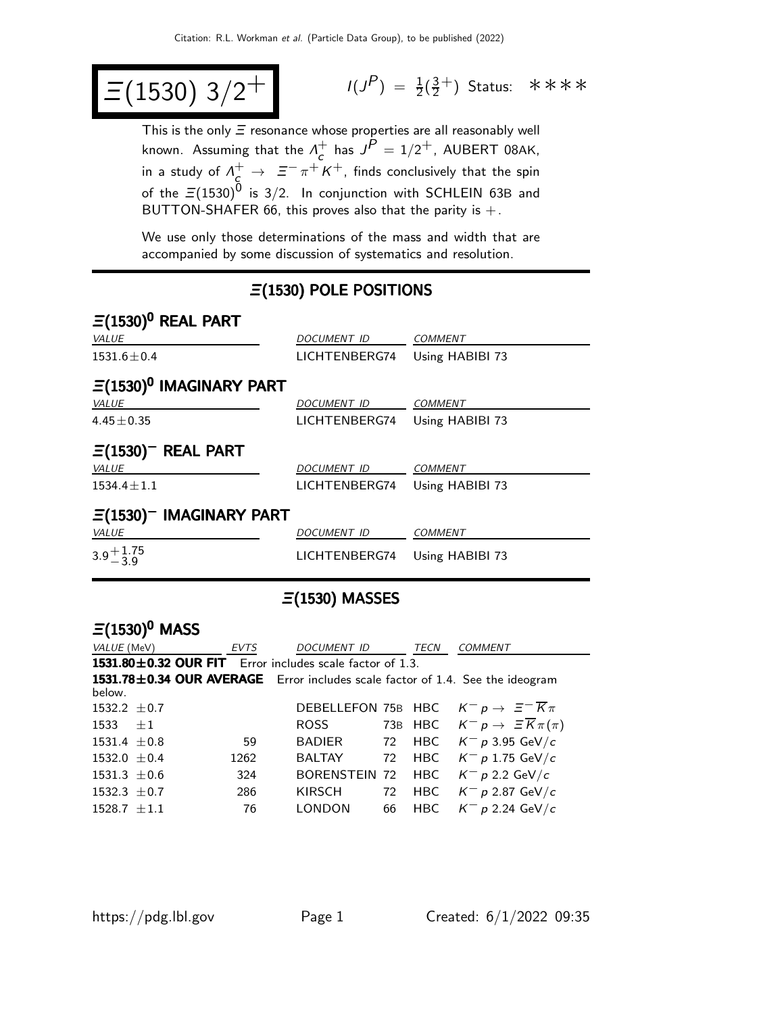$$
\Xi(1530) 3/2^+
$$

 $P$ ) =  $\frac{1}{2}(\frac{3}{2})$  $\frac{3}{2}^+$ ) Status: \*\*\*\*

This is the only  $\Xi$  resonance whose properties are all reasonably well known. Assuming that the  $\Lambda_c^+$  $c<sub>c</sub>$  has  $J<sup>P</sup> = 1/2<sup>+</sup>$ , AUBERT 08AK, in a study of  $\Lambda^+_c\to~\Xi^-\pi^+K^+$ , finds conclusively that the spin of the  $\Xi(1530)^{\rm 0}$  is 3/2. In conjunction with SCHLEIN 63B and BUTTON-SHAFER 66, this proves also that the parity is  $+$ .

We use only those determinations of the mass and width that are accompanied by some discussion of systematics and resolution.

# Ξ(1530) POLE POSITIONS

| $\Xi(1530)^{0}$ REAL PART    |                    |                 |
|------------------------------|--------------------|-----------------|
| <b>VALUE</b>                 | <i>DOCUMENT ID</i> | <b>COMMENT</b>  |
| $1531.6 \pm 0.4$             | LICHTENBERG74      | Using HABIBI 73 |
| $\Xi(1530)^0$ IMAGINARY PART |                    |                 |
| <b>VALUE</b>                 | DOCUMENT ID        | <b>COMMENT</b>  |
| $4.45 \pm 0.35$              | LICHTENBERG74      | Using HABIBI 73 |
| $\Xi(1530)^-$ REAL PART      |                    |                 |
| VALUE                        | DOCUMENT ID        | <b>COMMENT</b>  |
| $1534.4 \pm 1.1$             | LICHTENBERG74      | Using HABIBI 73 |
| $\Xi(1530)^-$ IMAGINARY PART |                    |                 |
| <b>VALUE</b>                 | DOCUMENT ID        | <b>COMMENT</b>  |
| $3.9 + 1.75$                 | LICHTENBERG74      | Using HABIBI 73 |

## Ξ(1530) MASSES

## $\Xi(1530)^{0}$  MASS

| <i>VALUE</i> (MeV)                                                            | <b>EVTS</b> | DOCUMENT ID | TECN | <b>COMMENT</b>                                                |
|-------------------------------------------------------------------------------|-------------|-------------|------|---------------------------------------------------------------|
| 1531.80±0.32 OUR FIT Error includes scale factor of 1.3.                      |             |             |      |                                                               |
| 1531.78±0.34 OUR AVERAGE Error includes scale factor of 1.4. See the ideogram |             |             |      |                                                               |
| below.                                                                        |             |             |      |                                                               |
| 1532.2 $\pm$ 0.7                                                              |             |             |      | DEBELLEFON 75B HBC $K^- p \rightarrow \Xi^- \overline{K} \pi$ |
| 1533 $\pm 1$                                                                  |             | ROSS        |      | 73B HBC $K^- p \to \Xi \overline{K} \pi(\pi)$                 |
| $1531.4 \pm 0.8$                                                              | 59          | BADIER      |      | 72 HBC $K^- p 3.95 \text{ GeV}/c$                             |
| 1532.0 $\pm$ 0.4                                                              | 1262        | BALTAY      |      | 72 HBC $K^- p 1.75 \text{ GeV}/c$                             |
| $1531.3 \pm 0.6$                                                              | 324         |             |      | BORENSTEIN 72 HBC $K^- p$ 2.2 GeV/c                           |
| 1532.3 $\pm$ 0.7                                                              | 286         | KIRSCH      |      | 72 HBC $K^- p 2.87 \text{ GeV}/c$                             |
| $1528.7 \pm 1.1$                                                              | 76          | LONDON      |      | 66 HBC $K^- p 2.24 \text{ GeV}/c$                             |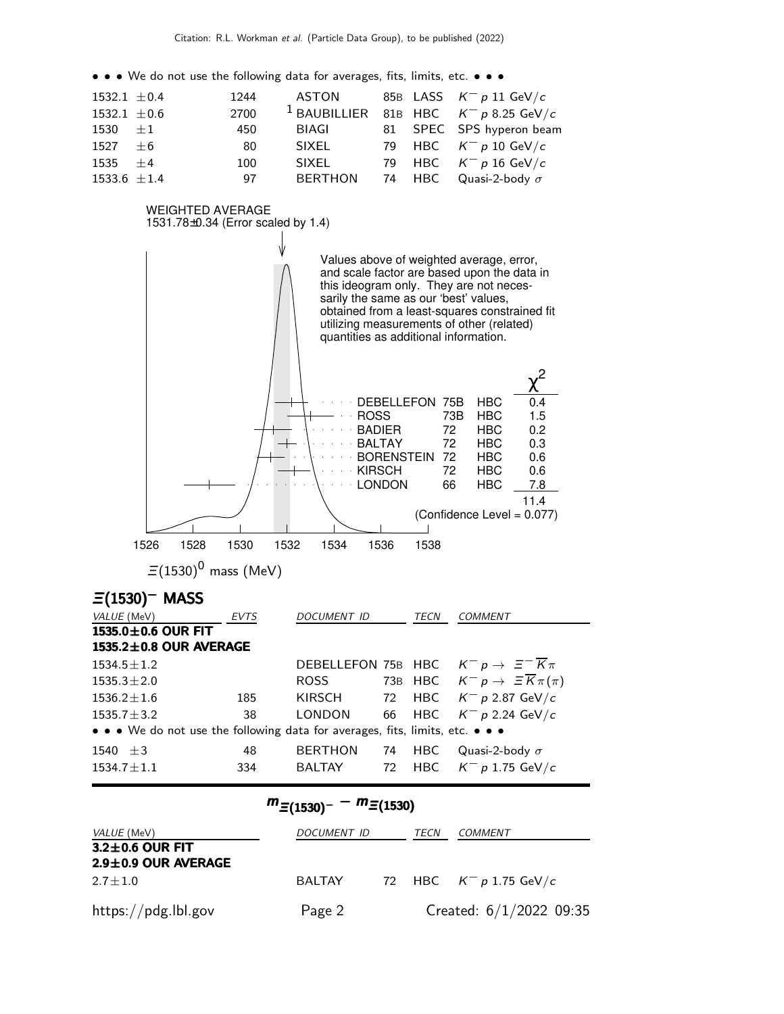• • • We do not use the following data for averages, fits, limits, etc. • • •

| $1532.1 \pm 0.4$ | 1244 | ASTON          |  | 85B LASS $K^- p 11 \text{ GeV}/c$                  |
|------------------|------|----------------|--|----------------------------------------------------|
| 1532.1 $\pm$ 0.6 | 2700 |                |  | <sup>1</sup> BAUBILLIER 81B HBC $K^- p$ 8.25 GeV/c |
| 1530 $\pm 1$     | 450  | BIAGI          |  | 81 SPEC SPS hyperon beam                           |
| $1527 \pm 6$     | 80   | SIXEL          |  | 79 HBC $K^- p 10 \text{ GeV}/c$                    |
| $1535 + 4$       | 100  | SIXEL          |  | 79 HBC $K^- p 16 \text{ GeV}/c$                    |
| 1533.6 $\pm 1.4$ | 97   | <b>BERTHON</b> |  | 74 HBC Quasi-2-body $\sigma$                       |



|  | $L = 12$ THE N $\mu$ 1.15 GeV       |  |  |
|--|-------------------------------------|--|--|
|  | $m_{\Xi(1530)^{-}} - m_{\Xi(1530)}$ |  |  |

| <i>VALUE</i> (MeV)        | DOCUMENT ID | TECN | <i>COMMENT</i>                    |
|---------------------------|-------------|------|-----------------------------------|
| $3.2 \pm 0.6$ OUR FIT     |             |      |                                   |
| $2.9 \pm 0.9$ OUR AVERAGE |             |      |                                   |
| $2.7 \pm 1.0$             | BALTAY      |      | 72 HBC $K^- p 1.75 \text{ GeV}/c$ |
| https://pdg.lbl.gov       | Page 2      |      | Created: $6/1/2022$ 09:35         |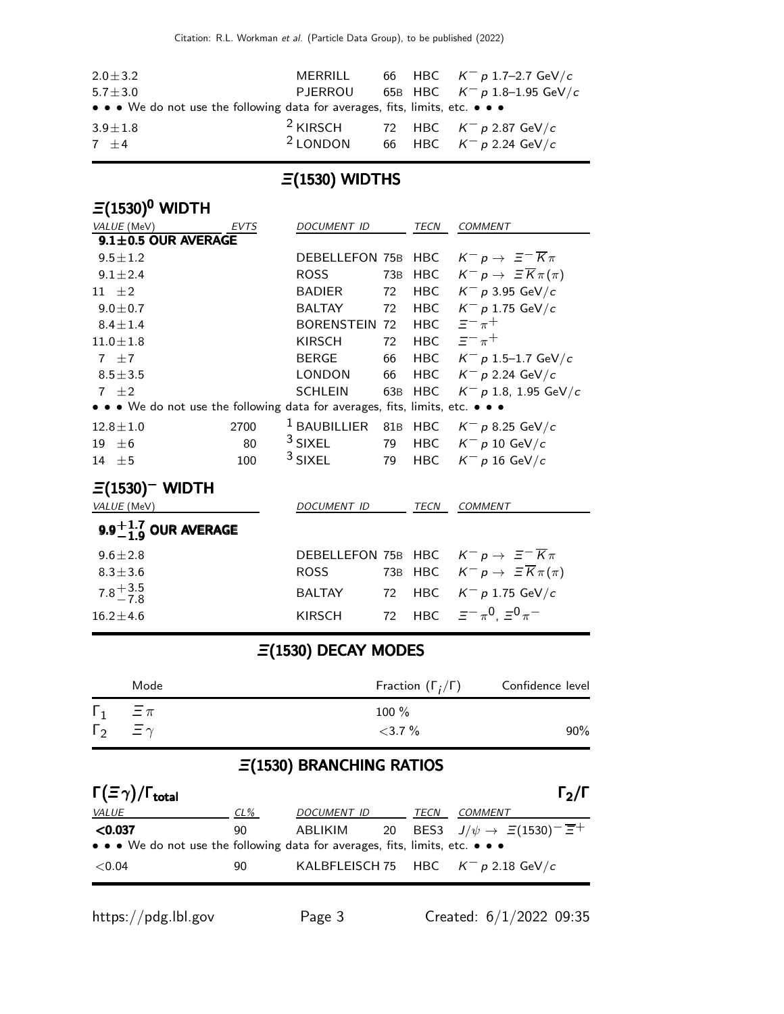| $2.0 \pm 3.2$                                                                                                         | MERRILL             |  | 66 HBC $K^- p 1.7-2.7$ GeV/c                  |
|-----------------------------------------------------------------------------------------------------------------------|---------------------|--|-----------------------------------------------|
| $5.7 \pm 3.0$                                                                                                         |                     |  | PJERROU 65B HBC $K^- p 1.8-1.95$ GeV/c        |
| $\bullet \bullet \bullet$ We do not use the following data for averages, fits, limits, etc. $\bullet \bullet \bullet$ |                     |  |                                               |
| $3.9 \pm 1.8$                                                                                                         |                     |  | <sup>2</sup> KIRSCH 72 HBC $K^- p$ 2.87 GeV/c |
| $7 + 4$                                                                                                               | <sup>2</sup> LONDON |  | 66 HBC $K^- p 2.24 \text{ GeV}/c$             |

#### $\Xi(1530)$  WIDTHS

### $\Xi(1530)^{0}$  WIDTH VALUE (MeV) **EVTS** DOCUMENT ID TECN COMMENT  $9.1 \pm 0.5$  OUR AVERAGE 9.5 $\pm$ 1.2 DEBELLEFON 75B HBC  $K^- p \rightarrow \Xi^- \overline{K} \pi$ 9.1 $\pm$ 2.4 ROSS 73B HBC  $K^- p \to \Xi \overline{K} \pi(\pi)$ 11  $\pm 2$  BADIER 72 HBC  $K^- p$  3.95 GeV/c 9.0 $\pm$ 0.7 BALTAY 72 HBC K<sup>-</sup> p 1.75 GeV/c  $8.4 \pm 1.4$  BORENSTEIN 72 HBC  $\Xi^- \pi^+$ 11.0 $\pm$ 1.8 KIRSCH 72 HBC  $\bar{z}^- \pi^+$ <sup>7</sup> <sup>±</sup>7 BERGE 66 HBC <sup>K</sup><sup>−</sup> <sup>p</sup> 1.5–1.7 GeV/<sup>c</sup>  $8.5\pm3.5$  LONDON 66 HBC  $K^- p 2.24 \text{ GeV}/c$ 7  $±2$  SCHLEIN 63B HBC  $K^- p$  1.8, 1.95 GeV/c • • • We do not use the following data for averages, fits, limits, etc. • • • 12.8±1.0 2700 <sup>1</sup> BAUBILLIER 81B HBC  $K^- p$  8.25 GeV/c 19  $\pm$ 6 80 <sup>3</sup> SIXEL 79 HBC K<sup>-</sup> p 10 GeV/c 14  $\pm$ 5 100 <sup>3</sup> SIXEL 79 HBC K<sup>-</sup> p 16 GeV/c  $\Xi(1530)$ <sup>-</sup> WIDTH VALUE (MeV) DOCUMENT ID TECN COMMENT 9.9 $^{\displaystyle +1.7}_{\displaystyle -1.9}$  OUR AVERAGE 9.6 $\pm$ 2.8 DEBELLEFON 75B HBC  $K^- p \rightarrow \Xi^- \overline{K} \pi$ 8.3 $\pm$ 3.6 ROSS 73B HBC  $K^- p \to \Xi \overline{K} \pi(\pi)$  $7.8 + 3.5$ <br>7.8 BALTAY 72 HBC  $K^- p$  1.75 GeV/c  $16.2 \pm 4.6$  KIRSCH 72 HBC  $\Xi^-\pi$  $\equiv$  $-\pi^0$ ,  $\equiv$ <sup>0</sup> $\pi^-$

#### Ξ(1530) DECAY MODES

|              | Mode            | Fraction $(\Gamma_i/\Gamma)$ | Confidence level |
|--------------|-----------------|------------------------------|------------------|
| $\Gamma_1$   | $\Xi \pi$       | $100 \%$                     |                  |
| $\Gamma_{2}$ | $\equiv \gamma$ | $<$ 3.7 $\%$                 | $90\%$           |

### Ξ(1530) BRANCHING RATIOS

| $\Gamma(\Xi\gamma)/\Gamma_{\rm total}$                                        |        |             |      | $\Gamma_2/\Gamma$                                                     |
|-------------------------------------------------------------------------------|--------|-------------|------|-----------------------------------------------------------------------|
| <i>VALUE</i>                                                                  | $CL\%$ | DOCUMENT ID | TECN | <i>COMMENT</i>                                                        |
| < 0.037                                                                       | 90     |             |      | ABLIKIM 20 BES3 $J/\psi \rightarrow \Xi(1530)^{-} \overline{\Xi}^{+}$ |
| • • • We do not use the following data for averages, fits, limits, etc. • • • |        |             |      |                                                                       |
| ${<}0.04$                                                                     | 90     |             |      | KALBFLEISCH 75 HBC $K^- p 2.18 \text{ GeV}/c$                         |

https://pdg.lbl.gov Page 3 Created: 6/1/2022 09:35